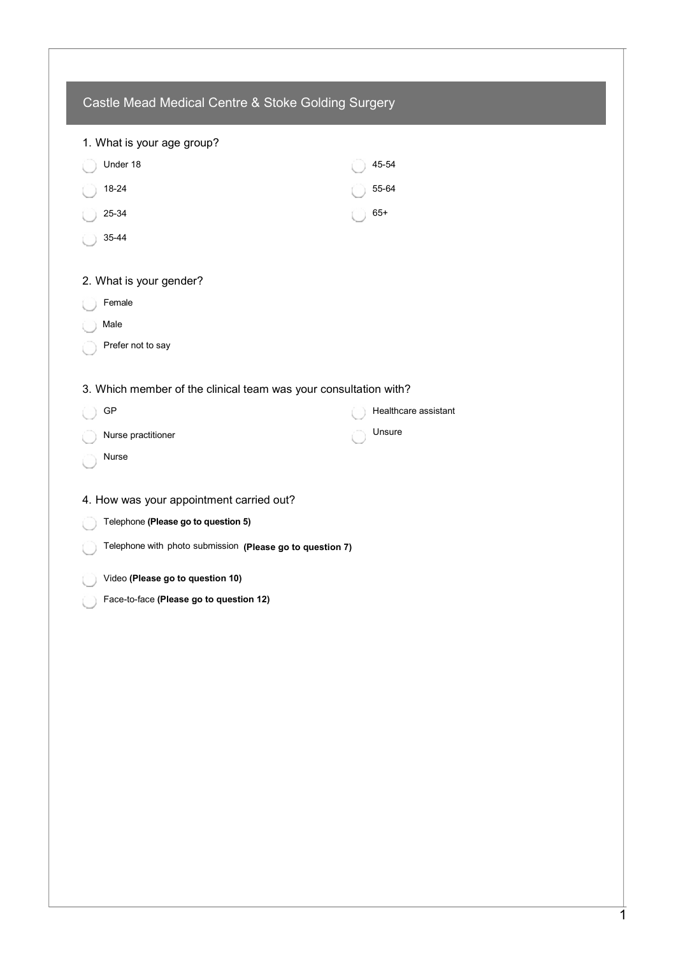| 1. What is your age group?                                       |                      |
|------------------------------------------------------------------|----------------------|
| Under 18                                                         | 45-54                |
| 18-24                                                            | 55-64                |
| 25-34                                                            | $65+$                |
| 35-44                                                            |                      |
| 2. What is your gender?                                          |                      |
| Female                                                           |                      |
| Male                                                             |                      |
| Prefer not to say                                                |                      |
| 3. Which member of the clinical team was your consultation with? |                      |
| GP                                                               | Healthcare assistant |
| Nurse practitioner                                               | Unsure               |
| Nurse                                                            |                      |
| 4. How was your appointment carried out?                         |                      |
| Telephone (Please go to question 5)                              |                      |
| Telephone with photo submission (Please go to question 7)        |                      |
| Video (Please go to question 10)                                 |                      |
| Face-to-face (Please go to question 12)                          |                      |
|                                                                  |                      |
|                                                                  |                      |
|                                                                  |                      |
|                                                                  |                      |
|                                                                  |                      |
|                                                                  |                      |
|                                                                  |                      |
|                                                                  |                      |
|                                                                  |                      |
|                                                                  |                      |
|                                                                  |                      |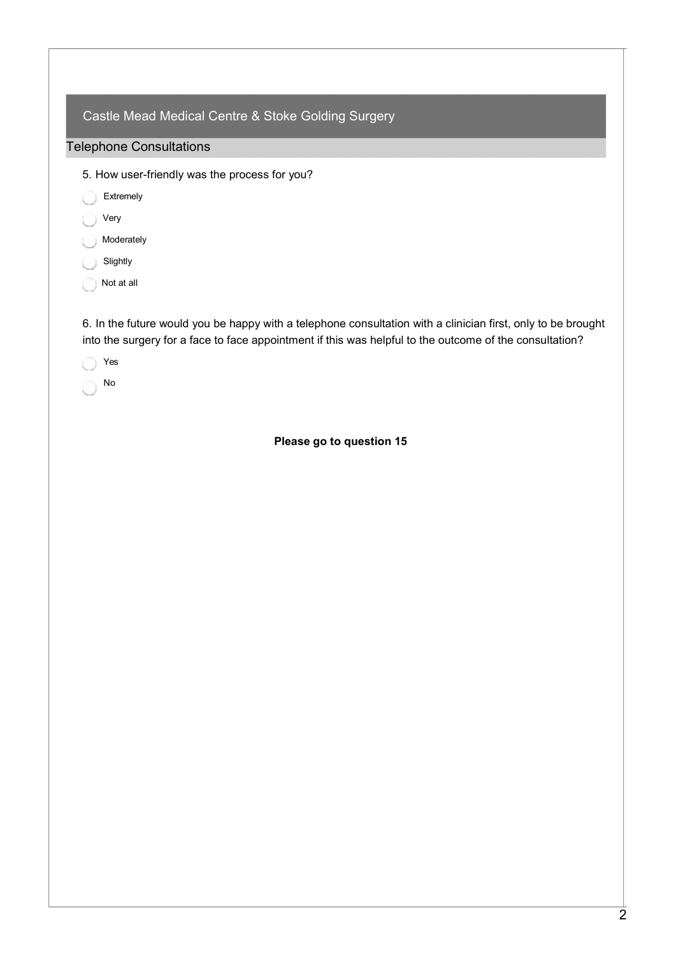| Castle Mead Medical Centre & Stoke Golding Surgery                                                          |
|-------------------------------------------------------------------------------------------------------------|
| <b>Telephone Consultations</b>                                                                              |
| 5. How user-friendly was the process for you?                                                               |
| Extremely                                                                                                   |
| Very                                                                                                        |
| Moderately                                                                                                  |
| Slightly                                                                                                    |
| Not at all                                                                                                  |
| 6 In the future would you be hanny with a telephone consultation with a clinician first, only to be brought |

6. In the future would you be happy with a telephone consultation with a clinician first, only to be brought into the surgery for a face to face appointment if this was helpful to the outcome of the consultation?

Yes

No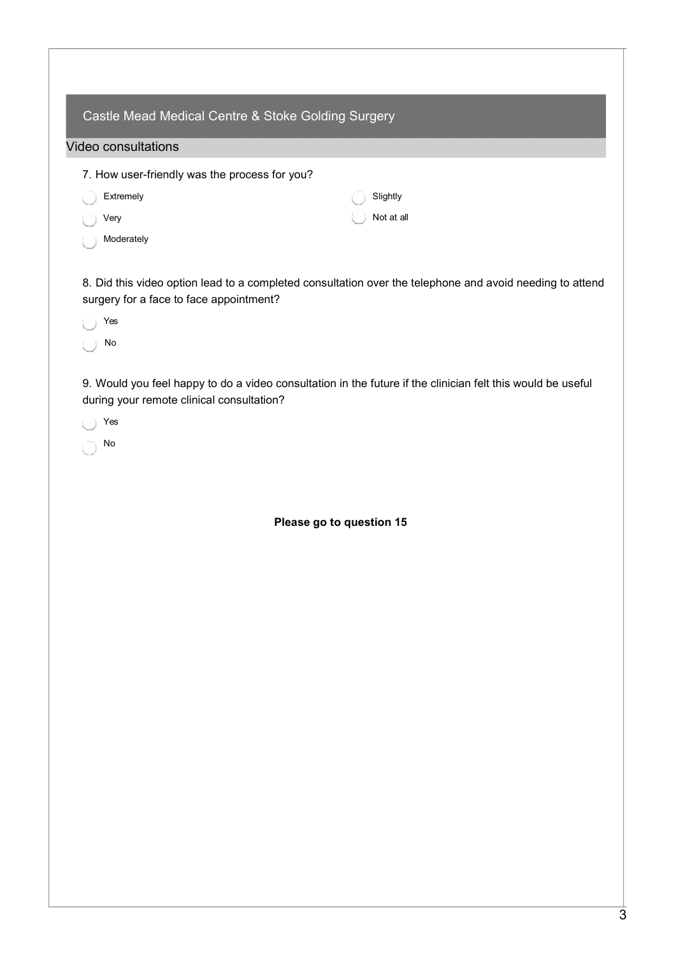| Castle Mead Medical Centre & Stoke Golding Surgery |            |  |
|----------------------------------------------------|------------|--|
| Video consultations                                |            |  |
| 7. How user-friendly was the process for you?      |            |  |
| Extremely                                          | Slightly   |  |
| Very                                               | Not at all |  |
| Moderately                                         |            |  |

8. Did this video option lead to a completed consultation over the telephone and avoid needing to attend surgery for a face to face appointment?

Yes

No

9. Would you feel happy to do a video consultation in the future if the clinician felt this would be useful during your remote clinical consultation?

Yes

No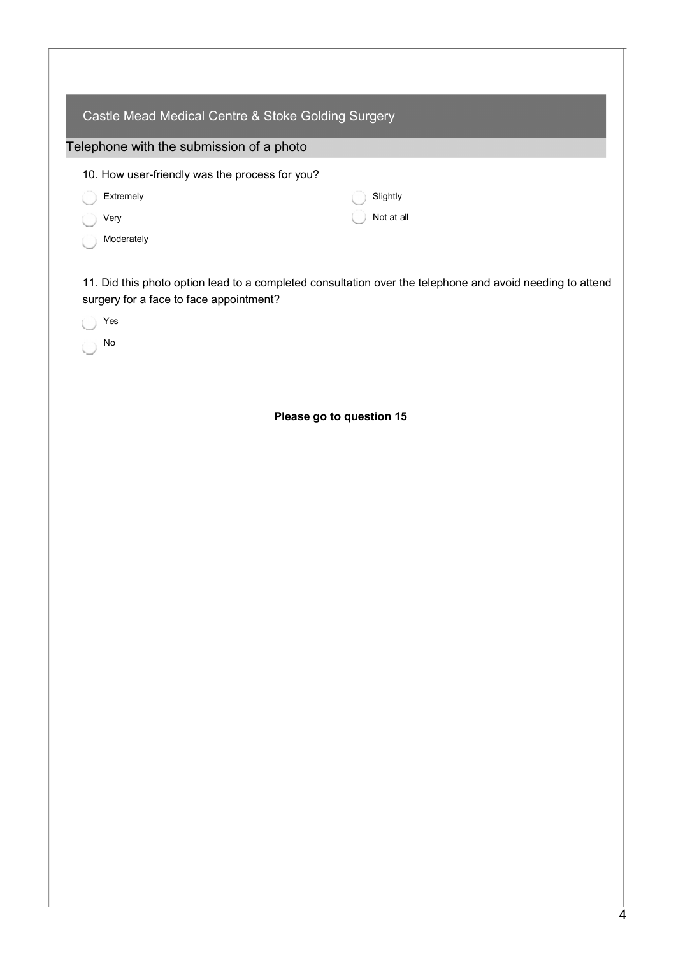| Castle Mead Medical Centre & Stoke Golding Surgery |            |  |  |
|----------------------------------------------------|------------|--|--|
| Telephone with the submission of a photo           |            |  |  |
| 10. How user-friendly was the process for you?     |            |  |  |
| Extremely                                          | Slightly   |  |  |
| Very                                               | Not at all |  |  |
| Moderately                                         |            |  |  |

11. Did this photo option lead to a completed consultation over the telephone and avoid needing to attend surgery for a face to face appointment?

Yes

No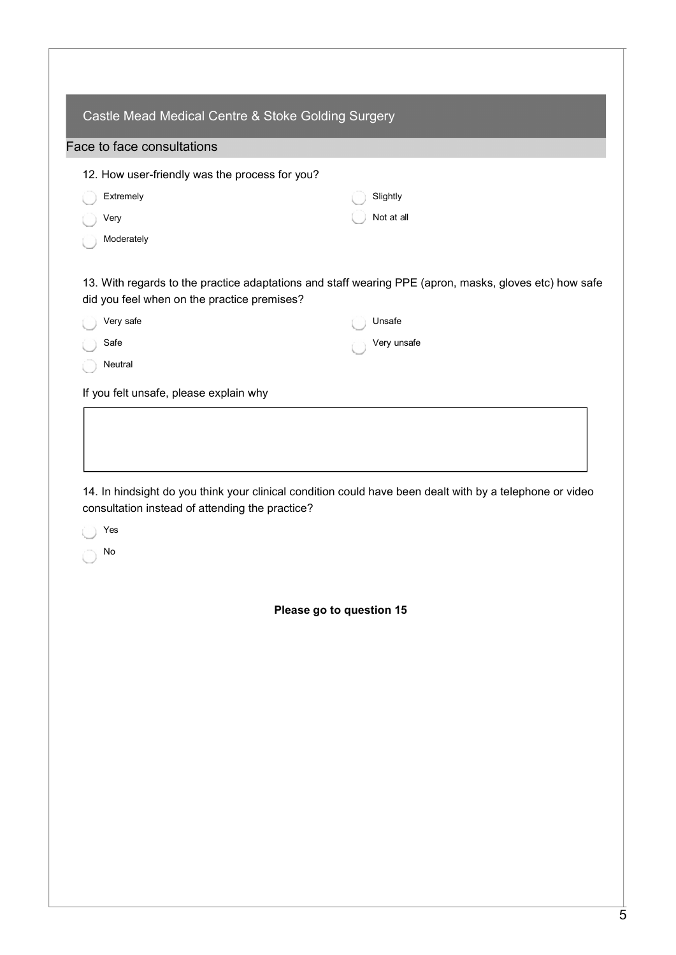| 12. How user-friendly was the process for you? |                                                                                                        |
|------------------------------------------------|--------------------------------------------------------------------------------------------------------|
| Extremely                                      | Slightly                                                                                               |
| Very                                           | Not at all                                                                                             |
| Moderately                                     |                                                                                                        |
| did you feel when on the practice premises?    | 13. With regards to the practice adaptations and staff wearing PPE (apron, masks, gloves etc) how safe |
| Very safe                                      | Unsafe                                                                                                 |
| Safe                                           | Very unsafe                                                                                            |
| Neutral                                        |                                                                                                        |
| If you felt unsafe, please explain why         |                                                                                                        |
|                                                |                                                                                                        |
|                                                |                                                                                                        |
|                                                |                                                                                                        |

No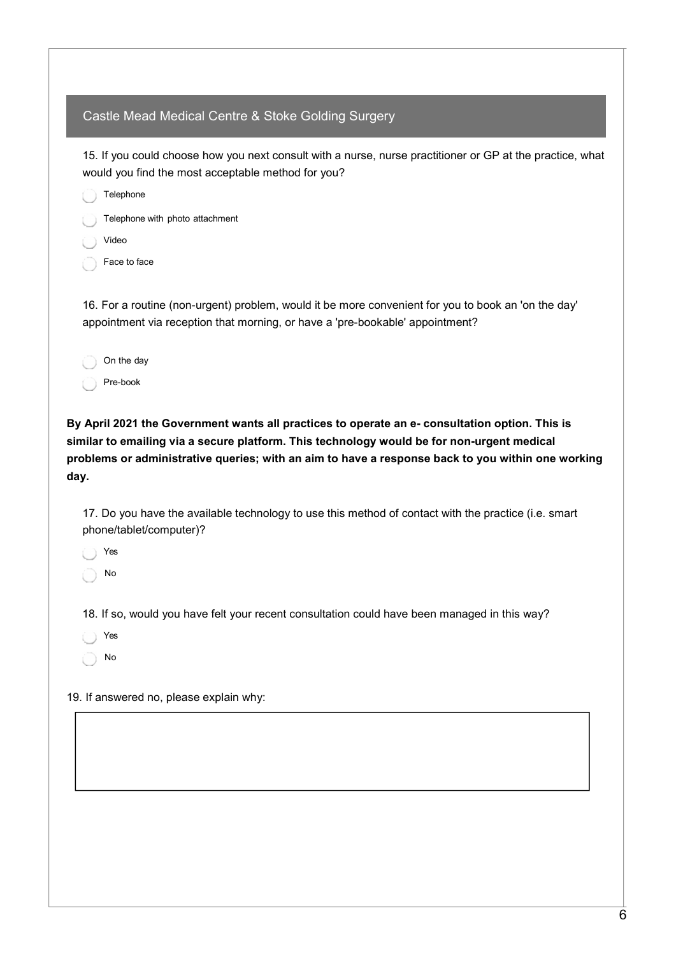15. If you could choose how you next consult with a nurse, nurse practitioner or GP at the practice, what would you find the most acceptable method for you?

 Telephone Telephone with photo attachment Video Face to face

16. For a routine (non-urgent) problem, would it be more convenient for you to book an 'on the day' appointment via reception that morning, or have a 'pre-bookable' appointment?

| On the day |
|------------|
| Pre-book   |

By April 2021 the Government wants all practices to operate an e- consultation option. This is similar to emailing via a secure platform. This technology would be for non-urgent medical problems or administrative queries; with an aim to have a response back to you within one working day.

17. Do you have the available technology to use this method of contact with the practice (i.e. smart phone/tablet/computer)?

Yes

No

18. If so, would you have felt your recent consultation could have been managed in this way?

Yes

No

19. If answered no, please explain why: